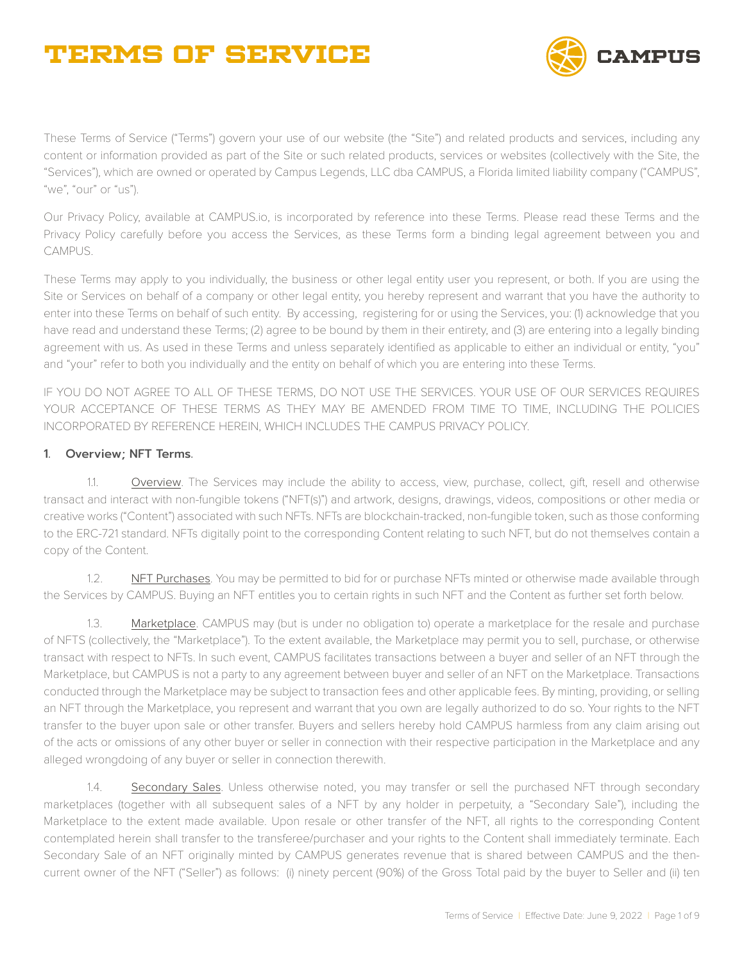# **Terms of Service**



These Terms of Service ("Terms") govern your use of our website (the "Site") and related products and services, including any content or information provided as part of the Site or such related products, services or websites (collectively with the Site, the "Services"), which are owned or operated by Campus Legends, LLC dba CAMPUS, a Florida limited liability company ("CAMPUS", "we", "our" or "us").

Our Privacy Policy, available at CAMPUS.io, is incorporated by reference into these Terms. Please read these Terms and the Privacy Policy carefully before you access the Services, as these Terms form a binding legal agreement between you and CAMPUS.

These Terms may apply to you individually, the business or other legal entity user you represent, or both. If you are using the Site or Services on behalf of a company or other legal entity, you hereby represent and warrant that you have the authority to enter into these Terms on behalf of such entity. By accessing, registering for or using the Services, you: (1) acknowledge that you have read and understand these Terms; (2) agree to be bound by them in their entirety, and (3) are entering into a legally binding agreement with us. As used in these Terms and unless separately identified as applicable to either an individual or entity, "you" and "your" refer to both you individually and the entity on behalf of which you are entering into these Terms.

IF YOU DO NOT AGREE TO ALL OF THESE TERMS, DO NOT USE THE SERVICES. YOUR USE OF OUR SERVICES REQUIRES YOUR ACCEPTANCE OF THESE TERMS AS THEY MAY BE AMENDED FROM TIME TO TIME, INCLUDING THE POLICIES INCORPORATED BY REFERENCE HEREIN, WHICH INCLUDES THE CAMPUS PRIVACY POLICY.

### 1. Overview; NFT Terms.

1.1. Overview. The Services may include the ability to access, view, purchase, collect, gift, resell and otherwise transact and interact with non-fungible tokens ("NFT(s)") and artwork, designs, drawings, videos, compositions or other media or creative works ("Content") associated with such NFTs. NFTs are blockchain-tracked, non-fungible token, such as those conforming to the ERC-721 standard. NFTs digitally point to the corresponding Content relating to such NFT, but do not themselves contain a copy of the Content.

1.2. NFT Purchases. You may be permitted to bid for or purchase NFTs minted or otherwise made available through the Services by CAMPUS. Buying an NFT entitles you to certain rights in such NFT and the Content as further set forth below.

1.3. Marketplace. CAMPUS may (but is under no obligation to) operate a marketplace for the resale and purchase of NFTS (collectively, the "Marketplace"). To the extent available, the Marketplace may permit you to sell, purchase, or otherwise transact with respect to NFTs. In such event, CAMPUS facilitates transactions between a buyer and seller of an NFT through the Marketplace, but CAMPUS is not a party to any agreement between buyer and seller of an NFT on the Marketplace. Transactions conducted through the Marketplace may be subject to transaction fees and other applicable fees. By minting, providing, or selling an NFT through the Marketplace, you represent and warrant that you own are legally authorized to do so. Your rights to the NFT transfer to the buyer upon sale or other transfer. Buyers and sellers hereby hold CAMPUS harmless from any claim arising out of the acts or omissions of any other buyer or seller in connection with their respective participation in the Marketplace and any alleged wrongdoing of any buyer or seller in connection therewith.

1.4. Secondary Sales. Unless otherwise noted, you may transfer or sell the purchased NFT through secondary marketplaces (together with all subsequent sales of a NFT by any holder in perpetuity, a "Secondary Sale"), including the Marketplace to the extent made available. Upon resale or other transfer of the NFT, all rights to the corresponding Content contemplated herein shall transfer to the transferee/purchaser and your rights to the Content shall immediately terminate. Each Secondary Sale of an NFT originally minted by CAMPUS generates revenue that is shared between CAMPUS and the thencurrent owner of the NFT ("Seller") as follows: (i) ninety percent (90%) of the Gross Total paid by the buyer to Seller and (ii) ten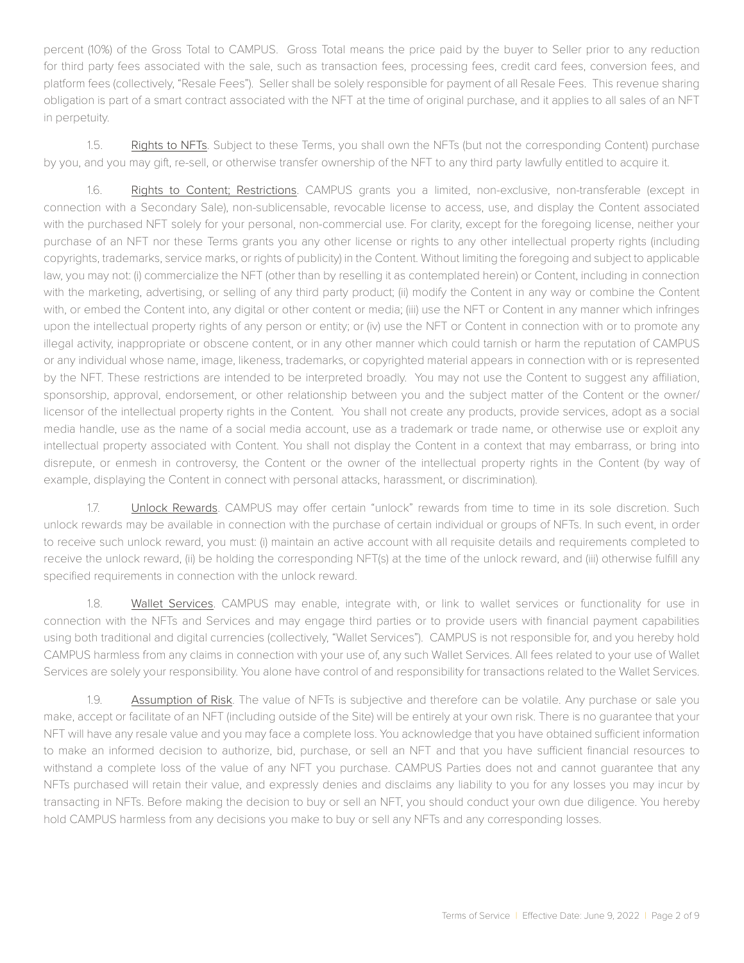percent (10%) of the Gross Total to CAMPUS. Gross Total means the price paid by the buyer to Seller prior to any reduction for third party fees associated with the sale, such as transaction fees, processing fees, credit card fees, conversion fees, and platform fees (collectively, "Resale Fees"). Seller shall be solely responsible for payment of all Resale Fees. This revenue sharing obligation is part of a smart contract associated with the NFT at the time of original purchase, and it applies to all sales of an NFT in perpetuity.

1.5. Rights to NFTs. Subject to these Terms, you shall own the NFTs (but not the corresponding Content) purchase by you, and you may gift, re-sell, or otherwise transfer ownership of the NFT to any third party lawfully entitled to acquire it.

1.6. Rights to Content; Restrictions. CAMPUS grants you a limited, non-exclusive, non-transferable (except in connection with a Secondary Sale), non-sublicensable, revocable license to access, use, and display the Content associated with the purchased NFT solely for your personal, non-commercial use. For clarity, except for the foregoing license, neither your purchase of an NFT nor these Terms grants you any other license or rights to any other intellectual property rights (including copyrights, trademarks, service marks, or rights of publicity) in the Content. Without limiting the foregoing and subject to applicable law, you may not: (i) commercialize the NFT (other than by reselling it as contemplated herein) or Content, including in connection with the marketing, advertising, or selling of any third party product; (ii) modify the Content in any way or combine the Content with, or embed the Content into, any digital or other content or media; (iii) use the NFT or Content in any manner which infringes upon the intellectual property rights of any person or entity; or (iv) use the NFT or Content in connection with or to promote any illegal activity, inappropriate or obscene content, or in any other manner which could tarnish or harm the reputation of CAMPUS or any individual whose name, image, likeness, trademarks, or copyrighted material appears in connection with or is represented by the NFT. These restrictions are intended to be interpreted broadly. You may not use the Content to suggest any affiliation, sponsorship, approval, endorsement, or other relationship between you and the subject matter of the Content or the owner/ licensor of the intellectual property rights in the Content. You shall not create any products, provide services, adopt as a social media handle, use as the name of a social media account, use as a trademark or trade name, or otherwise use or exploit any intellectual property associated with Content. You shall not display the Content in a context that may embarrass, or bring into disrepute, or enmesh in controversy, the Content or the owner of the intellectual property rights in the Content (by way of example, displaying the Content in connect with personal attacks, harassment, or discrimination).

1.7. Unlock Rewards. CAMPUS may offer certain "unlock" rewards from time to time in its sole discretion. Such unlock rewards may be available in connection with the purchase of certain individual or groups of NFTs. In such event, in order to receive such unlock reward, you must: (i) maintain an active account with all requisite details and requirements completed to receive the unlock reward, (ii) be holding the corresponding NFT(s) at the time of the unlock reward, and (iii) otherwise fulfill any specified requirements in connection with the unlock reward.

1.8. Wallet Services. CAMPUS may enable, integrate with, or link to wallet services or functionality for use in connection with the NFTs and Services and may engage third parties or to provide users with financial payment capabilities using both traditional and digital currencies (collectively, "Wallet Services"). CAMPUS is not responsible for, and you hereby hold CAMPUS harmless from any claims in connection with your use of, any such Wallet Services. All fees related to your use of Wallet Services are solely your responsibility. You alone have control of and responsibility for transactions related to the Wallet Services.

1.9. Assumption of Risk. The value of NFTs is subjective and therefore can be volatile. Any purchase or sale you make, accept or facilitate of an NFT (including outside of the Site) will be entirely at your own risk. There is no guarantee that your NFT will have any resale value and you may face a complete loss. You acknowledge that you have obtained sufficient information to make an informed decision to authorize, bid, purchase, or sell an NFT and that you have sufficient financial resources to withstand a complete loss of the value of any NFT you purchase. CAMPUS Parties does not and cannot guarantee that any NFTs purchased will retain their value, and expressly denies and disclaims any liability to you for any losses you may incur by transacting in NFTs. Before making the decision to buy or sell an NFT, you should conduct your own due diligence. You hereby hold CAMPUS harmless from any decisions you make to buy or sell any NFTs and any corresponding losses.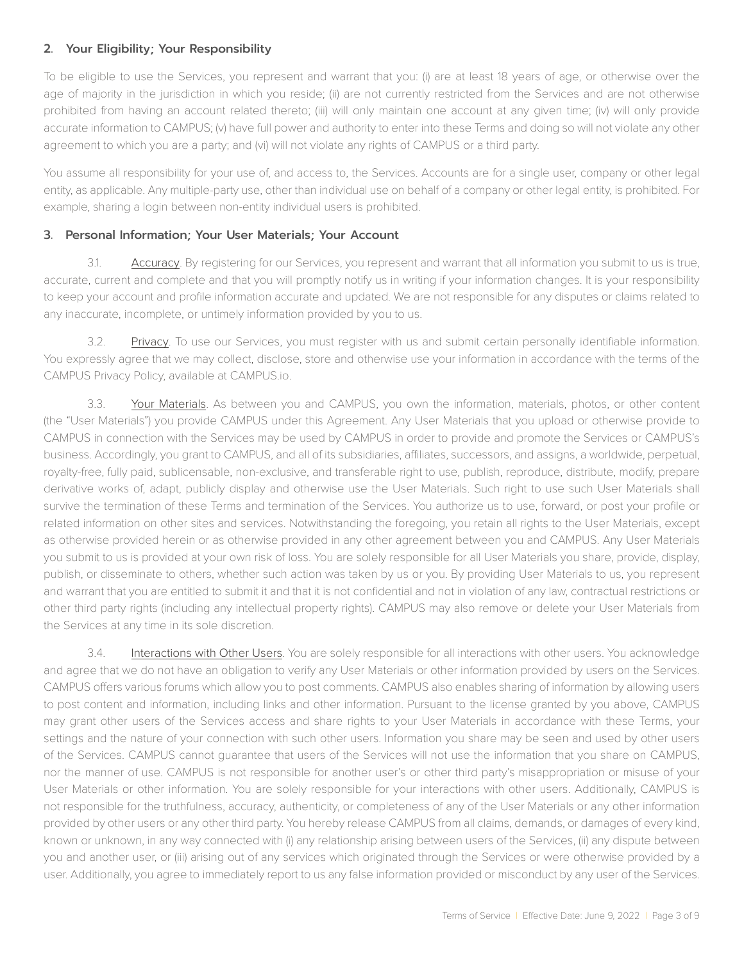## 2. Your Eligibility; Your Responsibility

To be eligible to use the Services, you represent and warrant that you: (i) are at least 18 years of age, or otherwise over the age of majority in the jurisdiction in which you reside; (ii) are not currently restricted from the Services and are not otherwise prohibited from having an account related thereto; (iii) will only maintain one account at any given time; (iv) will only provide accurate information to CAMPUS; (v) have full power and authority to enter into these Terms and doing so will not violate any other agreement to which you are a party; and (vi) will not violate any rights of CAMPUS or a third party.

You assume all responsibility for your use of, and access to, the Services. Accounts are for a single user, company or other legal entity, as applicable. Any multiple-party use, other than individual use on behalf of a company or other legal entity, is prohibited. For example, sharing a login between non-entity individual users is prohibited.

## 3. Personal Information; Your User Materials; Your Account

3.1. Accuracy. By registering for our Services, you represent and warrant that all information you submit to us is true, accurate, current and complete and that you will promptly notify us in writing if your information changes. It is your responsibility to keep your account and profile information accurate and updated. We are not responsible for any disputes or claims related to any inaccurate, incomplete, or untimely information provided by you to us.

3.2. Privacy. To use our Services, you must register with us and submit certain personally identifiable information. You expressly agree that we may collect, disclose, store and otherwise use your information in accordance with the terms of the CAMPUS Privacy Policy, available at CAMPUS.io.

3.3. Your Materials. As between you and CAMPUS, you own the information, materials, photos, or other content (the "User Materials") you provide CAMPUS under this Agreement. Any User Materials that you upload or otherwise provide to CAMPUS in connection with the Services may be used by CAMPUS in order to provide and promote the Services or CAMPUS's business. Accordingly, you grant to CAMPUS, and all of its subsidiaries, affiliates, successors, and assigns, a worldwide, perpetual, royalty-free, fully paid, sublicensable, non-exclusive, and transferable right to use, publish, reproduce, distribute, modify, prepare derivative works of, adapt, publicly display and otherwise use the User Materials. Such right to use such User Materials shall survive the termination of these Terms and termination of the Services. You authorize us to use, forward, or post your profile or related information on other sites and services. Notwithstanding the foregoing, you retain all rights to the User Materials, except as otherwise provided herein or as otherwise provided in any other agreement between you and CAMPUS. Any User Materials you submit to us is provided at your own risk of loss. You are solely responsible for all User Materials you share, provide, display, publish, or disseminate to others, whether such action was taken by us or you. By providing User Materials to us, you represent and warrant that you are entitled to submit it and that it is not confidential and not in violation of any law, contractual restrictions or other third party rights (including any intellectual property rights). CAMPUS may also remove or delete your User Materials from the Services at any time in its sole discretion.

3.4. Interactions with Other Users. You are solely responsible for all interactions with other users. You acknowledge and agree that we do not have an obligation to verify any User Materials or other information provided by users on the Services. CAMPUS offers various forums which allow you to post comments. CAMPUS also enables sharing of information by allowing users to post content and information, including links and other information. Pursuant to the license granted by you above, CAMPUS may grant other users of the Services access and share rights to your User Materials in accordance with these Terms, your settings and the nature of your connection with such other users. Information you share may be seen and used by other users of the Services. CAMPUS cannot guarantee that users of the Services will not use the information that you share on CAMPUS, nor the manner of use. CAMPUS is not responsible for another user's or other third party's misappropriation or misuse of your User Materials or other information. You are solely responsible for your interactions with other users. Additionally, CAMPUS is not responsible for the truthfulness, accuracy, authenticity, or completeness of any of the User Materials or any other information provided by other users or any other third party. You hereby release CAMPUS from all claims, demands, or damages of every kind, known or unknown, in any way connected with (i) any relationship arising between users of the Services, (ii) any dispute between you and another user, or (iii) arising out of any services which originated through the Services or were otherwise provided by a user. Additionally, you agree to immediately report to us any false information provided or misconduct by any user of the Services.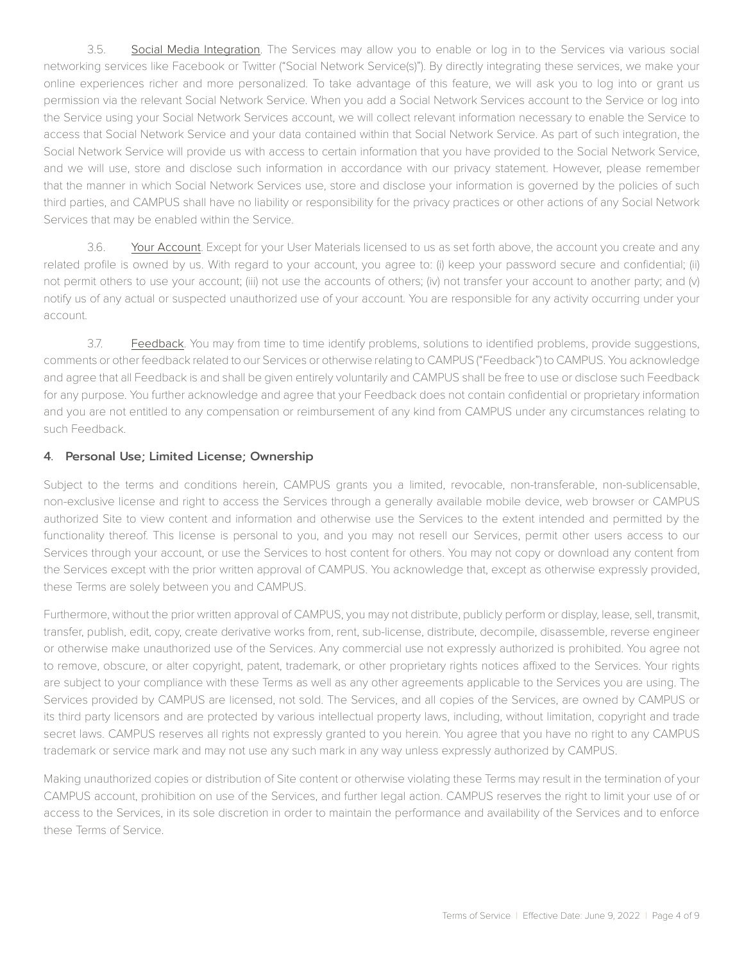3.5. Social Media Integration. The Services may allow you to enable or log in to the Services via various social networking services like Facebook or Twitter ("Social Network Service(s)"). By directly integrating these services, we make your online experiences richer and more personalized. To take advantage of this feature, we will ask you to log into or grant us permission via the relevant Social Network Service. When you add a Social Network Services account to the Service or log into the Service using your Social Network Services account, we will collect relevant information necessary to enable the Service to access that Social Network Service and your data contained within that Social Network Service. As part of such integration, the Social Network Service will provide us with access to certain information that you have provided to the Social Network Service, and we will use, store and disclose such information in accordance with our privacy statement. However, please remember that the manner in which Social Network Services use, store and disclose your information is governed by the policies of such third parties, and CAMPUS shall have no liability or responsibility for the privacy practices or other actions of any Social Network Services that may be enabled within the Service.

3.6. Your Account. Except for your User Materials licensed to us as set forth above, the account you create and any related profile is owned by us. With regard to your account, you agree to: (i) keep your password secure and confidential; (ii) not permit others to use your account; (iii) not use the accounts of others; (iv) not transfer your account to another party; and (v) notify us of any actual or suspected unauthorized use of your account. You are responsible for any activity occurring under your account.

3.7. Feedback. You may from time to time identify problems, solutions to identified problems, provide suggestions, comments or other feedback related to our Services or otherwise relating to CAMPUS ("Feedback") to CAMPUS. You acknowledge and agree that all Feedback is and shall be given entirely voluntarily and CAMPUS shall be free to use or disclose such Feedback for any purpose. You further acknowledge and agree that your Feedback does not contain confidential or proprietary information and you are not entitled to any compensation or reimbursement of any kind from CAMPUS under any circumstances relating to such Feedback.

## 4. Personal Use; Limited License; Ownership

Subject to the terms and conditions herein, CAMPUS grants you a limited, revocable, non-transferable, non-sublicensable, non-exclusive license and right to access the Services through a generally available mobile device, web browser or CAMPUS authorized Site to view content and information and otherwise use the Services to the extent intended and permitted by the functionality thereof. This license is personal to you, and you may not resell our Services, permit other users access to our Services through your account, or use the Services to host content for others. You may not copy or download any content from the Services except with the prior written approval of CAMPUS. You acknowledge that, except as otherwise expressly provided, these Terms are solely between you and CAMPUS.

Furthermore, without the prior written approval of CAMPUS, you may not distribute, publicly perform or display, lease, sell, transmit, transfer, publish, edit, copy, create derivative works from, rent, sub-license, distribute, decompile, disassemble, reverse engineer or otherwise make unauthorized use of the Services. Any commercial use not expressly authorized is prohibited. You agree not to remove, obscure, or alter copyright, patent, trademark, or other proprietary rights notices affixed to the Services. Your rights are subject to your compliance with these Terms as well as any other agreements applicable to the Services you are using. The Services provided by CAMPUS are licensed, not sold. The Services, and all copies of the Services, are owned by CAMPUS or its third party licensors and are protected by various intellectual property laws, including, without limitation, copyright and trade secret laws. CAMPUS reserves all rights not expressly granted to you herein. You agree that you have no right to any CAMPUS trademark or service mark and may not use any such mark in any way unless expressly authorized by CAMPUS.

Making unauthorized copies or distribution of Site content or otherwise violating these Terms may result in the termination of your CAMPUS account, prohibition on use of the Services, and further legal action. CAMPUS reserves the right to limit your use of or access to the Services, in its sole discretion in order to maintain the performance and availability of the Services and to enforce these Terms of Service.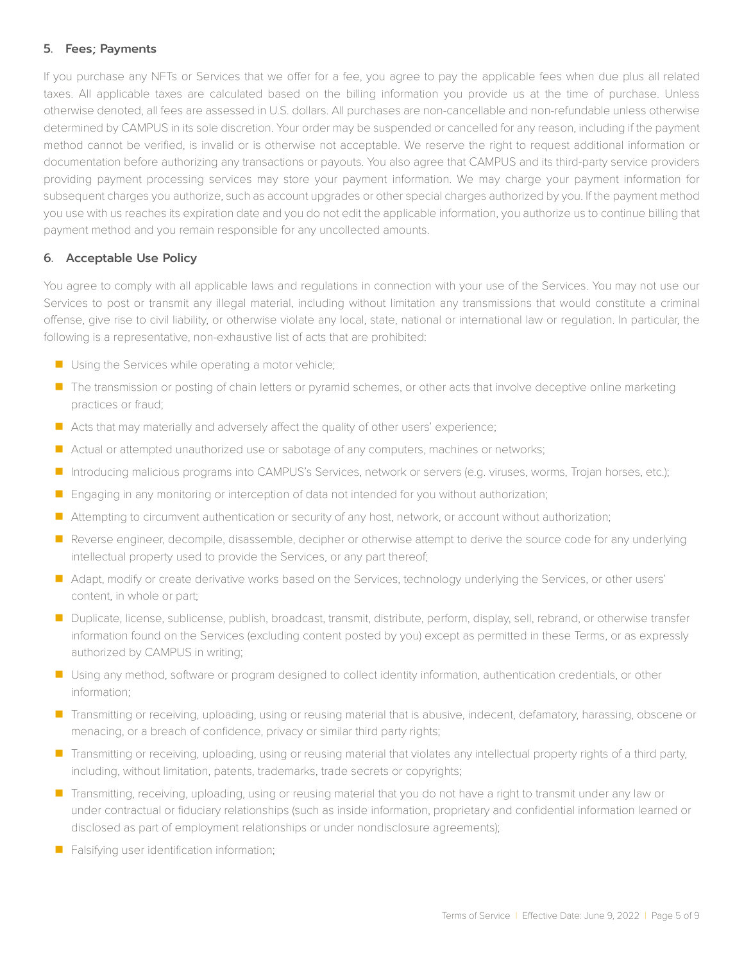### 5. Fees; Payments

If you purchase any NFTs or Services that we offer for a fee, you agree to pay the applicable fees when due plus all related taxes. All applicable taxes are calculated based on the billing information you provide us at the time of purchase. Unless otherwise denoted, all fees are assessed in U.S. dollars. All purchases are non-cancellable and non-refundable unless otherwise determined by CAMPUS in its sole discretion. Your order may be suspended or cancelled for any reason, including if the payment method cannot be verified, is invalid or is otherwise not acceptable. We reserve the right to request additional information or documentation before authorizing any transactions or payouts. You also agree that CAMPUS and its third-party service providers providing payment processing services may store your payment information. We may charge your payment information for subsequent charges you authorize, such as account upgrades or other special charges authorized by you. If the payment method you use with us reaches its expiration date and you do not edit the applicable information, you authorize us to continue billing that payment method and you remain responsible for any uncollected amounts.

## 6. Acceptable Use Policy

You agree to comply with all applicable laws and regulations in connection with your use of the Services. You may not use our Services to post or transmit any illegal material, including without limitation any transmissions that would constitute a criminal offense, give rise to civil liability, or otherwise violate any local, state, national or international law or regulation. In particular, the following is a representative, non-exhaustive list of acts that are prohibited:

- **Using the Services while operating a motor vehicle;**
- **T** The transmission or posting of chain letters or pyramid schemes, or other acts that involve deceptive online marketing practices or fraud;
- Acts that may materially and adversely affect the quality of other users' experience;
- Actual or attempted unauthorized use or sabotage of any computers, machines or networks;
- Introducing malicious programs into CAMPUS's Services, network or servers (e.g. viruses, worms, Trojan horses, etc.);
- **E** Engaging in any monitoring or interception of data not intended for you without authorization;
- Attempting to circumvent authentication or security of any host, network, or account without authorization;
- **Reverse engineer, decompile, disassemble, decipher or otherwise attempt to derive the source code for any underlying** intellectual property used to provide the Services, or any part thereof;
- Adapt, modify or create derivative works based on the Services, technology underlying the Services, or other users' content, in whole or part;
- Duplicate, license, sublicense, publish, broadcast, transmit, distribute, perform, display, sell, rebrand, or otherwise transfer information found on the Services (excluding content posted by you) except as permitted in these Terms, or as expressly authorized by CAMPUS in writing;
- Using any method, software or program designed to collect identity information, authentication credentials, or other information;
- **T** Transmitting or receiving, uploading, using or reusing material that is abusive, indecent, defamatory, harassing, obscene or menacing, or a breach of confidence, privacy or similar third party rights;
- Transmitting or receiving, uploading, using or reusing material that violates any intellectual property rights of a third party, including, without limitation, patents, trademarks, trade secrets or copyrights;
- **T** Transmitting, receiving, uploading, using or reusing material that you do not have a right to transmit under any law or under contractual or fiduciary relationships (such as inside information, proprietary and confidential information learned or disclosed as part of employment relationships or under nondisclosure agreements);
- $\blacksquare$  Falsifying user identification information;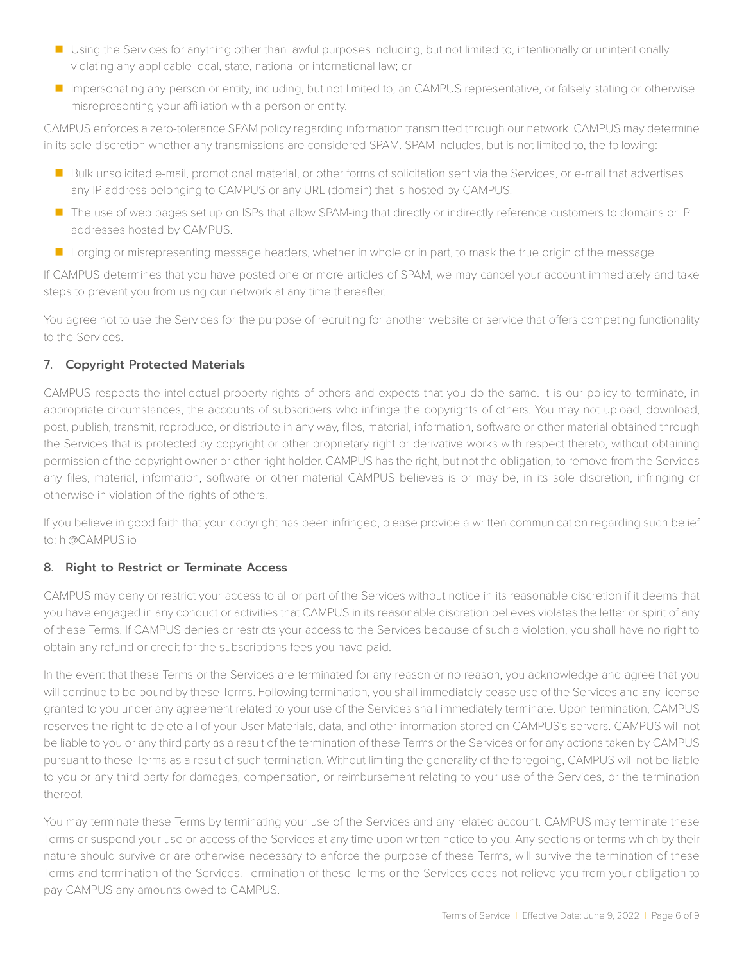- Using the Services for anything other than lawful purposes including, but not limited to, intentionally or unintentionally violating any applicable local, state, national or international law; or
- **I** Impersonating any person or entity, including, but not limited to, an CAMPUS representative, or falsely stating or otherwise misrepresenting your affiliation with a person or entity.

CAMPUS enforces a zero-tolerance SPAM policy regarding information transmitted through our network. CAMPUS may determine in its sole discretion whether any transmissions are considered SPAM. SPAM includes, but is not limited to, the following:

- Bulk unsolicited e-mail, promotional material, or other forms of solicitation sent via the Services, or e-mail that advertises any IP address belonging to CAMPUS or any URL (domain) that is hosted by CAMPUS.
- The use of web pages set up on ISPs that allow SPAM-ing that directly or indirectly reference customers to domains or IP addresses hosted by CAMPUS.
- **F** Forging or misrepresenting message headers, whether in whole or in part, to mask the true origin of the message.

If CAMPUS determines that you have posted one or more articles of SPAM, we may cancel your account immediately and take steps to prevent you from using our network at any time thereafter.

You agree not to use the Services for the purpose of recruiting for another website or service that offers competing functionality to the Services.

## 7. Copyright Protected Materials

CAMPUS respects the intellectual property rights of others and expects that you do the same. It is our policy to terminate, in appropriate circumstances, the accounts of subscribers who infringe the copyrights of others. You may not upload, download, post, publish, transmit, reproduce, or distribute in any way, files, material, information, software or other material obtained through the Services that is protected by copyright or other proprietary right or derivative works with respect thereto, without obtaining permission of the copyright owner or other right holder. CAMPUS has the right, but not the obligation, to remove from the Services any files, material, information, software or other material CAMPUS believes is or may be, in its sole discretion, infringing or otherwise in violation of the rights of others.

If you believe in good faith that your copyright has been infringed, please provide a written communication regarding such belief to: hi@CAMPUS.io

## 8. Right to Restrict or Terminate Access

CAMPUS may deny or restrict your access to all or part of the Services without notice in its reasonable discretion if it deems that you have engaged in any conduct or activities that CAMPUS in its reasonable discretion believes violates the letter or spirit of any of these Terms. If CAMPUS denies or restricts your access to the Services because of such a violation, you shall have no right to obtain any refund or credit for the subscriptions fees you have paid.

In the event that these Terms or the Services are terminated for any reason or no reason, you acknowledge and agree that you will continue to be bound by these Terms. Following termination, you shall immediately cease use of the Services and any license granted to you under any agreement related to your use of the Services shall immediately terminate. Upon termination, CAMPUS reserves the right to delete all of your User Materials, data, and other information stored on CAMPUS's servers. CAMPUS will not be liable to you or any third party as a result of the termination of these Terms or the Services or for any actions taken by CAMPUS pursuant to these Terms as a result of such termination. Without limiting the generality of the foregoing, CAMPUS will not be liable to you or any third party for damages, compensation, or reimbursement relating to your use of the Services, or the termination thereof.

You may terminate these Terms by terminating your use of the Services and any related account. CAMPUS may terminate these Terms or suspend your use or access of the Services at any time upon written notice to you. Any sections or terms which by their nature should survive or are otherwise necessary to enforce the purpose of these Terms, will survive the termination of these Terms and termination of the Services. Termination of these Terms or the Services does not relieve you from your obligation to pay CAMPUS any amounts owed to CAMPUS.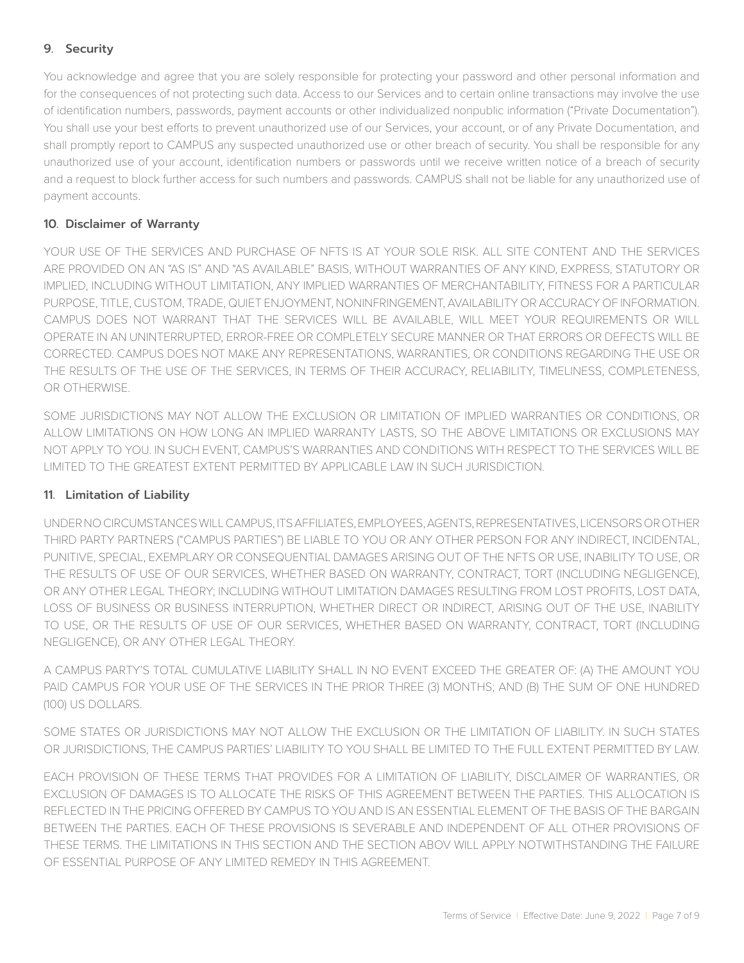# 9. Security

You acknowledge and agree that you are solely responsible for protecting your password and other personal information and for the consequences of not protecting such data. Access to our Services and to certain online transactions may involve the use of identification numbers, passwords, payment accounts or other individualized nonpublic information ("Private Documentation"). You shall use your best efforts to prevent unauthorized use of our Services, your account, or of any Private Documentation, and shall promptly report to CAMPUS any suspected unauthorized use or other breach of security. You shall be responsible for any unauthorized use of your account, identification numbers or passwords until we receive written notice of a breach of security and a request to block further access for such numbers and passwords. CAMPUS shall not be liable for any unauthorized use of payment accounts.

## 10. Disclaimer of Warranty

YOUR USE OF THE SERVICES AND PURCHASE OF NFTS IS AT YOUR SOLE RISK. ALL SITE CONTENT AND THE SERVICES ARE PROVIDED ON AN "AS IS" AND "AS AVAILABLE" BASIS, WITHOUT WARRANTIES OF ANY KIND, EXPRESS, STATUTORY OR IMPLIED, INCLUDING WITHOUT LIMITATION, ANY IMPLIED WARRANTIES OF MERCHANTABILITY, FITNESS FOR A PARTICULAR PURPOSE, TITLE, CUSTOM, TRADE, QUIET ENJOYMENT, NONINFRINGEMENT, AVAILABILITY OR ACCURACY OF INFORMATION. CAMPUS DOES NOT WARRANT THAT THE SERVICES WILL BE AVAILABLE, WILL MEET YOUR REQUIREMENTS OR WILL OPERATE IN AN UNINTERRUPTED, ERROR-FREE OR COMPLETELY SECURE MANNER OR THAT ERRORS OR DEFECTS WILL BE CORRECTED. CAMPUS DOES NOT MAKE ANY REPRESENTATIONS, WARRANTIES, OR CONDITIONS REGARDING THE USE OR THE RESULTS OF THE USE OF THE SERVICES, IN TERMS OF THEIR ACCURACY, RELIABILITY, TIMELINESS, COMPLETENESS, OR OTHERWISE.

SOME JURISDICTIONS MAY NOT ALLOW THE EXCLUSION OR LIMITATION OF IMPLIED WARRANTIES OR CONDITIONS, OR ALLOW LIMITATIONS ON HOW LONG AN IMPLIED WARRANTY LASTS, SO THE ABOVE LIMITATIONS OR EXCLUSIONS MAY NOT APPLY TO YOU. IN SUCH EVENT, CAMPUS'S WARRANTIES AND CONDITIONS WITH RESPECT TO THE SERVICES WILL BE LIMITED TO THE GREATEST EXTENT PERMITTED BY APPLICABLE LAW IN SUCH JURISDICTION.

## 11. Limitation of Liability

UNDER NO CIRCUMSTANCES WILL CAMPUS, ITS AFFILIATES, EMPLOYEES, AGENTS, REPRESENTATIVES, LICENSORS OR OTHER THIRD PARTY PARTNERS ("CAMPUS PARTIES") BE LIABLE TO YOU OR ANY OTHER PERSON FOR ANY INDIRECT, INCIDENTAL, PUNITIVE, SPECIAL, EXEMPLARY OR CONSEQUENTIAL DAMAGES ARISING OUT OF THE NFTS OR USE, INABILITY TO USE, OR THE RESULTS OF USE OF OUR SERVICES, WHETHER BASED ON WARRANTY, CONTRACT, TORT (INCLUDING NEGLIGENCE), OR ANY OTHER LEGAL THEORY; INCLUDING WITHOUT LIMITATION DAMAGES RESULTING FROM LOST PROFITS, LOST DATA, LOSS OF BUSINESS OR BUSINESS INTERRUPTION, WHETHER DIRECT OR INDIRECT, ARISING OUT OF THE USE, INABILITY TO USE, OR THE RESULTS OF USE OF OUR SERVICES, WHETHER BASED ON WARRANTY, CONTRACT, TORT (INCLUDING NEGLIGENCE), OR ANY OTHER LEGAL THEORY.

A CAMPUS PARTY'S TOTAL CUMULATIVE LIABILITY SHALL IN NO EVENT EXCEED THE GREATER OF: (A) THE AMOUNT YOU PAID CAMPUS FOR YOUR USE OF THE SERVICES IN THE PRIOR THREE (3) MONTHS; AND (B) THE SUM OF ONE HUNDRED (100) US DOLLARS.

SOME STATES OR JURISDICTIONS MAY NOT ALLOW THE EXCLUSION OR THE LIMITATION OF LIABILITY. IN SUCH STATES OR JURISDICTIONS, THE CAMPUS PARTIES' LIABILITY TO YOU SHALL BE LIMITED TO THE FULL EXTENT PERMITTED BY LAW.

EACH PROVISION OF THESE TERMS THAT PROVIDES FOR A LIMITATION OF LIABILITY, DISCLAIMER OF WARRANTIES, OR EXCLUSION OF DAMAGES IS TO ALLOCATE THE RISKS OF THIS AGREEMENT BETWEEN THE PARTIES. THIS ALLOCATION IS REFLECTED IN THE PRICING OFFERED BY CAMPUS TO YOU AND IS AN ESSENTIAL ELEMENT OF THE BASIS OF THE BARGAIN BETWEEN THE PARTIES. EACH OF THESE PROVISIONS IS SEVERABLE AND INDEPENDENT OF ALL OTHER PROVISIONS OF THESE TERMS. THE LIMITATIONS IN THIS SECTION AND THE SECTION ABOV WILL APPLY NOTWITHSTANDING THE FAILURE OF ESSENTIAL PURPOSE OF ANY LIMITED REMEDY IN THIS AGREEMENT.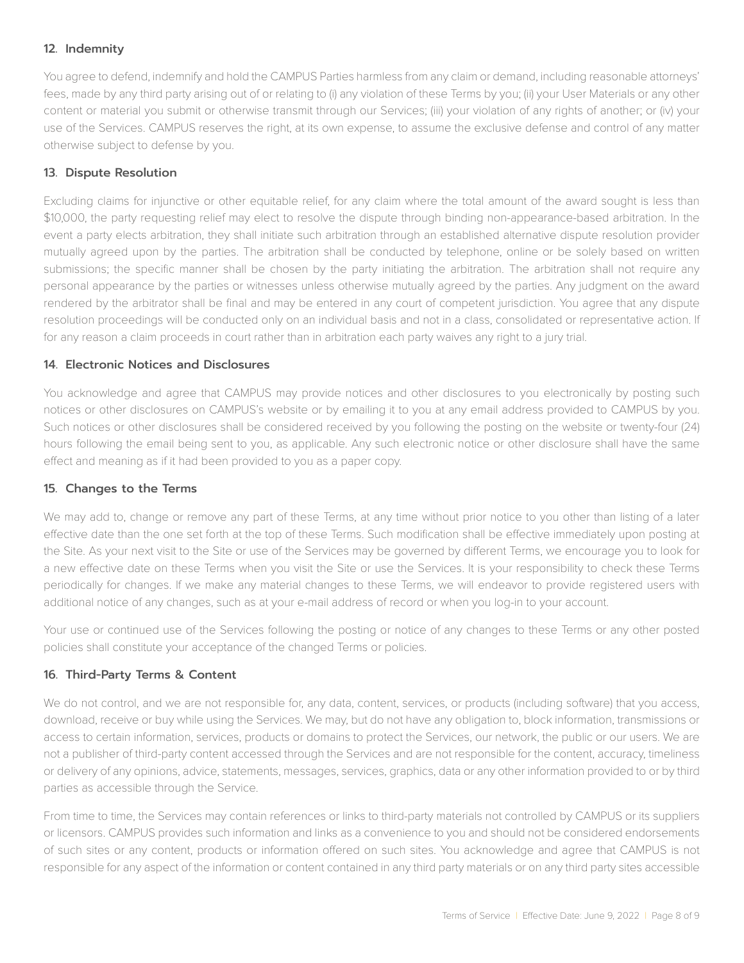## 12. Indemnity

You agree to defend, indemnify and hold the CAMPUS Parties harmless from any claim or demand, including reasonable attorneys' fees, made by any third party arising out of or relating to (i) any violation of these Terms by you; (ii) your User Materials or any other content or material you submit or otherwise transmit through our Services; (iii) your violation of any rights of another; or (iv) your use of the Services. CAMPUS reserves the right, at its own expense, to assume the exclusive defense and control of any matter otherwise subject to defense by you.

### 13. Dispute Resolution

Excluding claims for injunctive or other equitable relief, for any claim where the total amount of the award sought is less than \$10,000, the party requesting relief may elect to resolve the dispute through binding non-appearance-based arbitration. In the event a party elects arbitration, they shall initiate such arbitration through an established alternative dispute resolution provider mutually agreed upon by the parties. The arbitration shall be conducted by telephone, online or be solely based on written submissions; the specific manner shall be chosen by the party initiating the arbitration. The arbitration shall not require any personal appearance by the parties or witnesses unless otherwise mutually agreed by the parties. Any judgment on the award rendered by the arbitrator shall be final and may be entered in any court of competent jurisdiction. You agree that any dispute resolution proceedings will be conducted only on an individual basis and not in a class, consolidated or representative action. If for any reason a claim proceeds in court rather than in arbitration each party waives any right to a jury trial.

#### 14. Electronic Notices and Disclosures

You acknowledge and agree that CAMPUS may provide notices and other disclosures to you electronically by posting such notices or other disclosures on CAMPUS's website or by emailing it to you at any email address provided to CAMPUS by you. Such notices or other disclosures shall be considered received by you following the posting on the website or twenty-four (24) hours following the email being sent to you, as applicable. Any such electronic notice or other disclosure shall have the same effect and meaning as if it had been provided to you as a paper copy.

## 15. Changes to the Terms

We may add to, change or remove any part of these Terms, at any time without prior notice to you other than listing of a later effective date than the one set forth at the top of these Terms. Such modification shall be effective immediately upon posting at the Site. As your next visit to the Site or use of the Services may be governed by different Terms, we encourage you to look for a new effective date on these Terms when you visit the Site or use the Services. It is your responsibility to check these Terms periodically for changes. If we make any material changes to these Terms, we will endeavor to provide registered users with additional notice of any changes, such as at your e-mail address of record or when you log-in to your account.

Your use or continued use of the Services following the posting or notice of any changes to these Terms or any other posted policies shall constitute your acceptance of the changed Terms or policies.

## 16. Third-Party Terms & Content

We do not control, and we are not responsible for, any data, content, services, or products (including software) that you access, download, receive or buy while using the Services. We may, but do not have any obligation to, block information, transmissions or access to certain information, services, products or domains to protect the Services, our network, the public or our users. We are not a publisher of third-party content accessed through the Services and are not responsible for the content, accuracy, timeliness or delivery of any opinions, advice, statements, messages, services, graphics, data or any other information provided to or by third parties as accessible through the Service.

From time to time, the Services may contain references or links to third-party materials not controlled by CAMPUS or its suppliers or licensors. CAMPUS provides such information and links as a convenience to you and should not be considered endorsements of such sites or any content, products or information offered on such sites. You acknowledge and agree that CAMPUS is not responsible for any aspect of the information or content contained in any third party materials or on any third party sites accessible